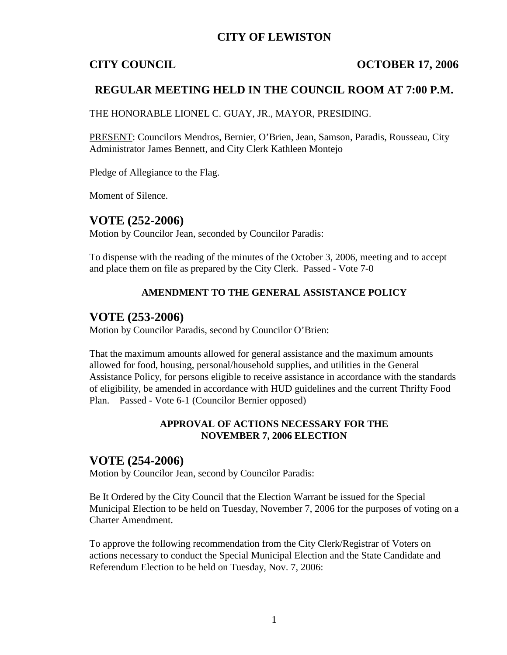## **CITY OF LEWISTON**

## **CITY COUNCIL COUNCIL COUNCIL COUNCIL**

## **REGULAR MEETING HELD IN THE COUNCIL ROOM AT 7:00 P.M.**

THE HONORABLE LIONEL C. GUAY, JR., MAYOR, PRESIDING.

PRESENT: Councilors Mendros, Bernier, O'Brien, Jean, Samson, Paradis, Rousseau, City Administrator James Bennett, and City Clerk Kathleen Montejo

Pledge of Allegiance to the Flag.

Moment of Silence.

## **VOTE (252-2006)**

Motion by Councilor Jean, seconded by Councilor Paradis:

To dispense with the reading of the minutes of the October 3, 2006, meeting and to accept and place them on file as prepared by the City Clerk. Passed - Vote 7-0

### **AMENDMENT TO THE GENERAL ASSISTANCE POLICY**

## **VOTE (253-2006)**

Motion by Councilor Paradis, second by Councilor O'Brien:

That the maximum amounts allowed for general assistance and the maximum amounts allowed for food, housing, personal/household supplies, and utilities in the General Assistance Policy, for persons eligible to receive assistance in accordance with the standards of eligibility, be amended in accordance with HUD guidelines and the current Thrifty Food Plan. Passed - Vote 6-1 (Councilor Bernier opposed)

### **APPROVAL OF ACTIONS NECESSARY FOR THE NOVEMBER 7, 2006 ELECTION**

## **VOTE (254-2006)**

Motion by Councilor Jean, second by Councilor Paradis:

Be It Ordered by the City Council that the Election Warrant be issued for the Special Municipal Election to be held on Tuesday, November 7, 2006 for the purposes of voting on a Charter Amendment.

To approve the following recommendation from the City Clerk/Registrar of Voters on actions necessary to conduct the Special Municipal Election and the State Candidate and Referendum Election to be held on Tuesday, Nov. 7, 2006: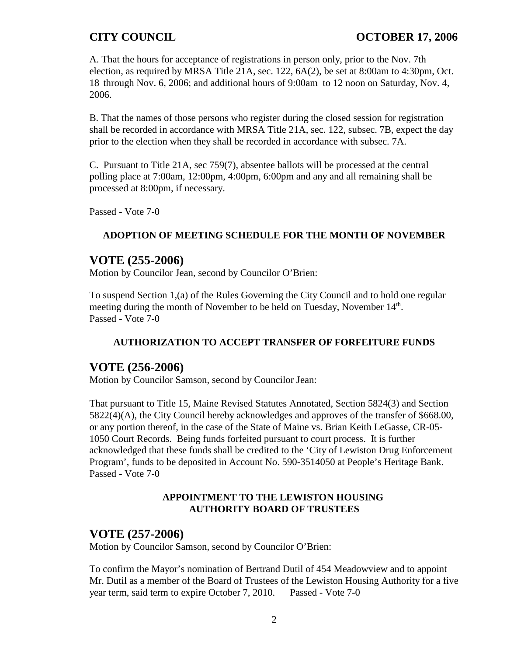A. That the hours for acceptance of registrations in person only, prior to the Nov. 7th election, as required by MRSA Title 21A, sec. 122, 6A(2), be set at 8:00am to 4:30pm, Oct. 18 through Nov. 6, 2006; and additional hours of 9:00am to 12 noon on Saturday, Nov. 4, 2006.

B. That the names of those persons who register during the closed session for registration shall be recorded in accordance with MRSA Title 21A, sec. 122, subsec. 7B, expect the day prior to the election when they shall be recorded in accordance with subsec. 7A.

C. Pursuant to Title 21A, sec 759(7), absentee ballots will be processed at the central polling place at 7:00am, 12:00pm, 4:00pm, 6:00pm and any and all remaining shall be processed at 8:00pm, if necessary.

Passed - Vote 7-0

## **ADOPTION OF MEETING SCHEDULE FOR THE MONTH OF NOVEMBER**

## **VOTE (255-2006)**

Motion by Councilor Jean, second by Councilor O'Brien:

To suspend Section 1,(a) of the Rules Governing the City Council and to hold one regular meeting during the month of November to be held on Tuesday, November 14<sup>th</sup>. Passed - Vote 7-0

## **AUTHORIZATION TO ACCEPT TRANSFER OF FORFEITURE FUNDS**

## **VOTE (256-2006)**

Motion by Councilor Samson, second by Councilor Jean:

That pursuant to Title 15, Maine Revised Statutes Annotated, Section 5824(3) and Section 5822(4)(A), the City Council hereby acknowledges and approves of the transfer of \$668.00, or any portion thereof, in the case of the State of Maine vs. Brian Keith LeGasse, CR-05- 1050 Court Records. Being funds forfeited pursuant to court process. It is further acknowledged that these funds shall be credited to the 'City of Lewiston Drug Enforcement Program', funds to be deposited in Account No. 590-3514050 at People's Heritage Bank. Passed - Vote 7-0

## **APPOINTMENT TO THE LEWISTON HOUSING AUTHORITY BOARD OF TRUSTEES**

## **VOTE (257-2006)**

Motion by Councilor Samson, second by Councilor O'Brien:

To confirm the Mayor's nomination of Bertrand Dutil of 454 Meadowview and to appoint Mr. Dutil as a member of the Board of Trustees of the Lewiston Housing Authority for a five year term, said term to expire October 7, 2010. Passed - Vote 7-0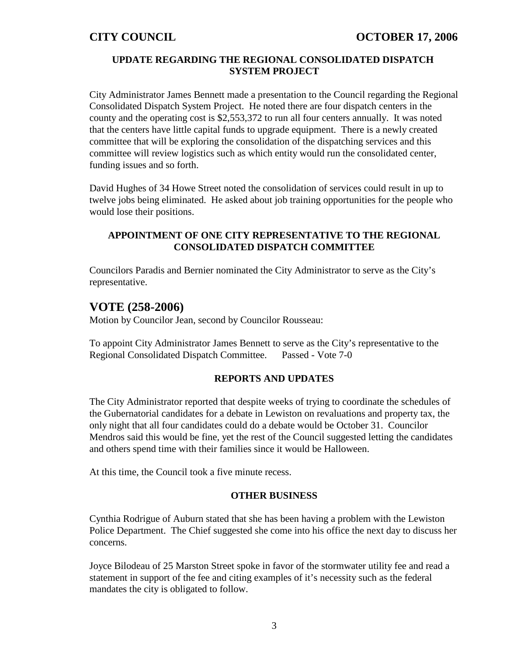### **UPDATE REGARDING THE REGIONAL CONSOLIDATED DISPATCH SYSTEM PROJECT**

City Administrator James Bennett made a presentation to the Council regarding the Regional Consolidated Dispatch System Project. He noted there are four dispatch centers in the county and the operating cost is \$2,553,372 to run all four centers annually. It was noted that the centers have little capital funds to upgrade equipment. There is a newly created committee that will be exploring the consolidation of the dispatching services and this committee will review logistics such as which entity would run the consolidated center, funding issues and so forth.

David Hughes of 34 Howe Street noted the consolidation of services could result in up to twelve jobs being eliminated. He asked about job training opportunities for the people who would lose their positions.

### **APPOINTMENT OF ONE CITY REPRESENTATIVE TO THE REGIONAL CONSOLIDATED DISPATCH COMMITTEE**

Councilors Paradis and Bernier nominated the City Administrator to serve as the City's representative.

## **VOTE (258-2006)**

Motion by Councilor Jean, second by Councilor Rousseau:

To appoint City Administrator James Bennett to serve as the City's representative to the Regional Consolidated Dispatch Committee. Passed - Vote 7-0

### **REPORTS AND UPDATES**

The City Administrator reported that despite weeks of trying to coordinate the schedules of the Gubernatorial candidates for a debate in Lewiston on revaluations and property tax, the only night that all four candidates could do a debate would be October 31. Councilor Mendros said this would be fine, yet the rest of the Council suggested letting the candidates and others spend time with their families since it would be Halloween.

At this time, the Council took a five minute recess.

### **OTHER BUSINESS**

Cynthia Rodrigue of Auburn stated that she has been having a problem with the Lewiston Police Department. The Chief suggested she come into his office the next day to discuss her concerns.

Joyce Bilodeau of 25 Marston Street spoke in favor of the stormwater utility fee and read a statement in support of the fee and citing examples of it's necessity such as the federal mandates the city is obligated to follow.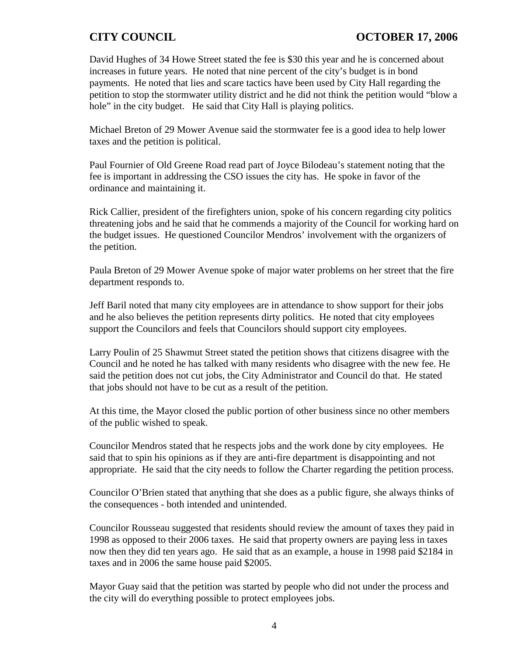David Hughes of 34 Howe Street stated the fee is \$30 this year and he is concerned about increases in future years. He noted that nine percent of the city's budget is in bond payments. He noted that lies and scare tactics have been used by City Hall regarding the petition to stop the stormwater utility district and he did not think the petition would "blow a hole" in the city budget. He said that City Hall is playing politics.

Michael Breton of 29 Mower Avenue said the stormwater fee is a good idea to help lower taxes and the petition is political.

Paul Fournier of Old Greene Road read part of Joyce Bilodeau's statement noting that the fee is important in addressing the CSO issues the city has. He spoke in favor of the ordinance and maintaining it.

Rick Callier, president of the firefighters union, spoke of his concern regarding city politics threatening jobs and he said that he commends a majority of the Council for working hard on the budget issues. He questioned Councilor Mendros' involvement with the organizers of the petition.

Paula Breton of 29 Mower Avenue spoke of major water problems on her street that the fire department responds to.

Jeff Baril noted that many city employees are in attendance to show support for their jobs and he also believes the petition represents dirty politics. He noted that city employees support the Councilors and feels that Councilors should support city employees.

Larry Poulin of 25 Shawmut Street stated the petition shows that citizens disagree with the Council and he noted he has talked with many residents who disagree with the new fee. He said the petition does not cut jobs, the City Administrator and Council do that. He stated that jobs should not have to be cut as a result of the petition.

At this time, the Mayor closed the public portion of other business since no other members of the public wished to speak.

Councilor Mendros stated that he respects jobs and the work done by city employees. He said that to spin his opinions as if they are anti-fire department is disappointing and not appropriate. He said that the city needs to follow the Charter regarding the petition process.

Councilor O'Brien stated that anything that she does as a public figure, she always thinks of the consequences - both intended and unintended.

Councilor Rousseau suggested that residents should review the amount of taxes they paid in 1998 as opposed to their 2006 taxes. He said that property owners are paying less in taxes now then they did ten years ago. He said that as an example, a house in 1998 paid \$2184 in taxes and in 2006 the same house paid \$2005.

Mayor Guay said that the petition was started by people who did not under the process and the city will do everything possible to protect employees jobs.